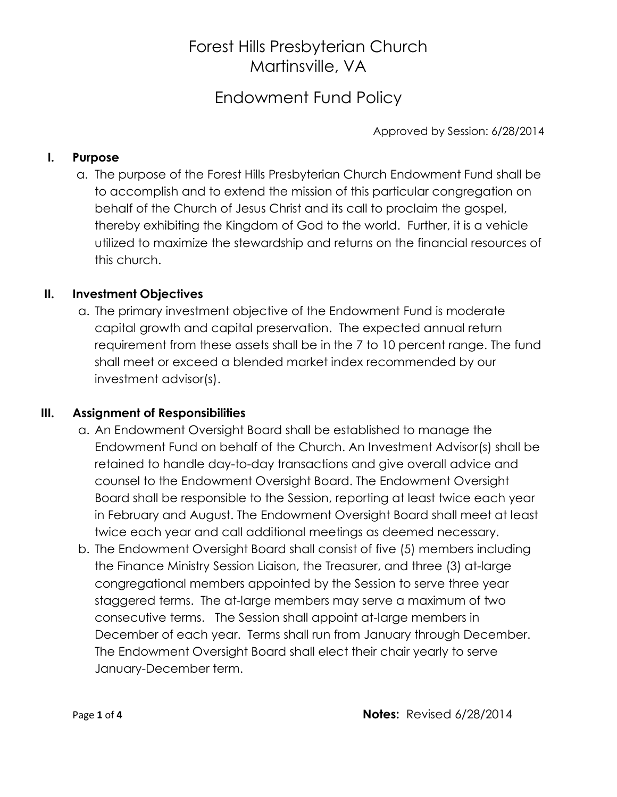Endowment Fund Policy

Approved by Session: 6/28/2014

### **I. Purpose**

a. The purpose of the Forest Hills Presbyterian Church Endowment Fund shall be to accomplish and to extend the mission of this particular congregation on behalf of the Church of Jesus Christ and its call to proclaim the gospel, thereby exhibiting the Kingdom of God to the world. Further, it is a vehicle utilized to maximize the stewardship and returns on the financial resources of this church.

### **II. Investment Objectives**

a. The primary investment objective of the Endowment Fund is moderate capital growth and capital preservation. The expected annual return requirement from these assets shall be in the 7 to 10 percent range. The fund shall meet or exceed a blended market index recommended by our investment advisor(s).

#### **III. Assignment of Responsibilities**

- a. An Endowment Oversight Board shall be established to manage the Endowment Fund on behalf of the Church. An Investment Advisor(s) shall be retained to handle day-to-day transactions and give overall advice and counsel to the Endowment Oversight Board. The Endowment Oversight Board shall be responsible to the Session, reporting at least twice each year in February and August. The Endowment Oversight Board shall meet at least twice each year and call additional meetings as deemed necessary.
- b. The Endowment Oversight Board shall consist of five (5) members including the Finance Ministry Session Liaison, the Treasurer, and three (3) at-large congregational members appointed by the Session to serve three year staggered terms. The at-large members may serve a maximum of two consecutive terms. The Session shall appoint at-large members in December of each year. Terms shall run from January through December. The Endowment Oversight Board shall elect their chair yearly to serve January-December term.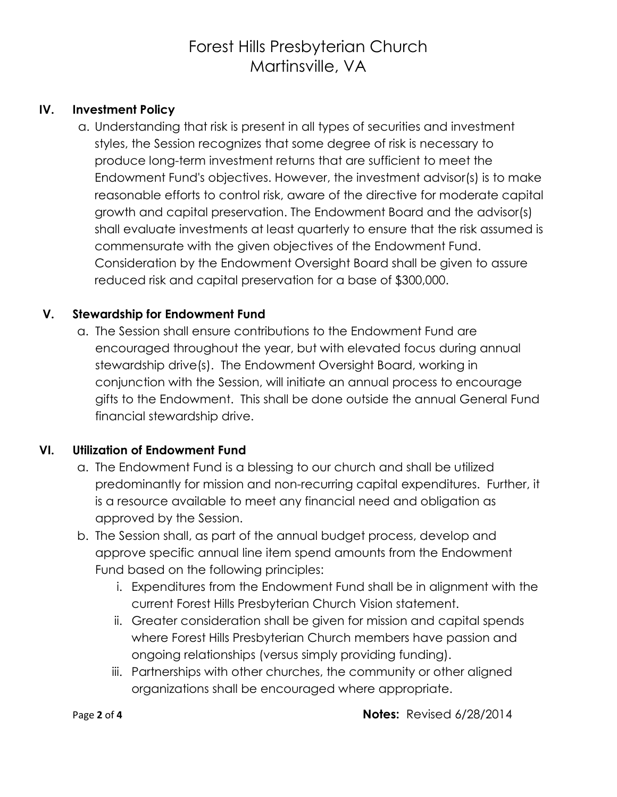### **IV. Investment Policy**

a. Understanding that risk is present in all types of securities and investment styles, the Session recognizes that some degree of risk is necessary to produce long-term investment returns that are sufficient to meet the Endowment Fund's objectives. However, the investment advisor(s) is to make reasonable efforts to control risk, aware of the directive for moderate capital growth and capital preservation. The Endowment Board and the advisor(s) shall evaluate investments at least quarterly to ensure that the risk assumed is commensurate with the given objectives of the Endowment Fund. Consideration by the Endowment Oversight Board shall be given to assure reduced risk and capital preservation for a base of \$300,000.

#### **V. Stewardship for Endowment Fund**

a. The Session shall ensure contributions to the Endowment Fund are encouraged throughout the year, but with elevated focus during annual stewardship drive(s). The Endowment Oversight Board, working in conjunction with the Session, will initiate an annual process to encourage gifts to the Endowment. This shall be done outside the annual General Fund financial stewardship drive.

#### **VI. Utilization of Endowment Fund**

- a. The Endowment Fund is a blessing to our church and shall be utilized predominantly for mission and non-recurring capital expenditures. Further, it is a resource available to meet any financial need and obligation as approved by the Session.
- b. The Session shall, as part of the annual budget process, develop and approve specific annual line item spend amounts from the Endowment Fund based on the following principles:
	- i. Expenditures from the Endowment Fund shall be in alignment with the current Forest Hills Presbyterian Church Vision statement.
	- ii. Greater consideration shall be given for mission and capital spends where Forest Hills Presbyterian Church members have passion and ongoing relationships (versus simply providing funding).
	- iii. Partnerships with other churches, the community or other aligned organizations shall be encouraged where appropriate.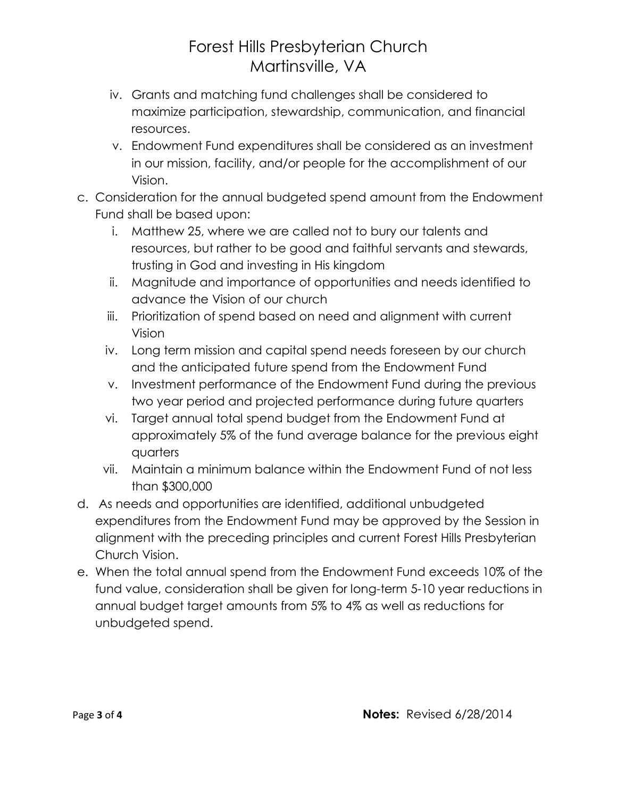- iv. Grants and matching fund challenges shall be considered to maximize participation, stewardship, communication, and financial resources.
- v. Endowment Fund expenditures shall be considered as an investment in our mission, facility, and/or people for the accomplishment of our Vision.
- c. Consideration for the annual budgeted spend amount from the Endowment Fund shall be based upon:
	- i. Matthew 25, where we are called not to bury our talents and resources, but rather to be good and faithful servants and stewards, trusting in God and investing in His kingdom
	- ii. Magnitude and importance of opportunities and needs identified to advance the Vision of our church
	- iii. Prioritization of spend based on need and alignment with current Vision
	- iv. Long term mission and capital spend needs foreseen by our church and the anticipated future spend from the Endowment Fund
	- v. Investment performance of the Endowment Fund during the previous two year period and projected performance during future quarters
	- vi. Target annual total spend budget from the Endowment Fund at approximately 5% of the fund average balance for the previous eight quarters
	- vii. Maintain a minimum balance within the Endowment Fund of not less than \$300,000
- d. As needs and opportunities are identified, additional unbudgeted expenditures from the Endowment Fund may be approved by the Session in alignment with the preceding principles and current Forest Hills Presbyterian Church Vision.
- e. When the total annual spend from the Endowment Fund exceeds 10% of the fund value, consideration shall be given for long-term 5-10 year reductions in annual budget target amounts from 5% to 4% as well as reductions for unbudgeted spend.